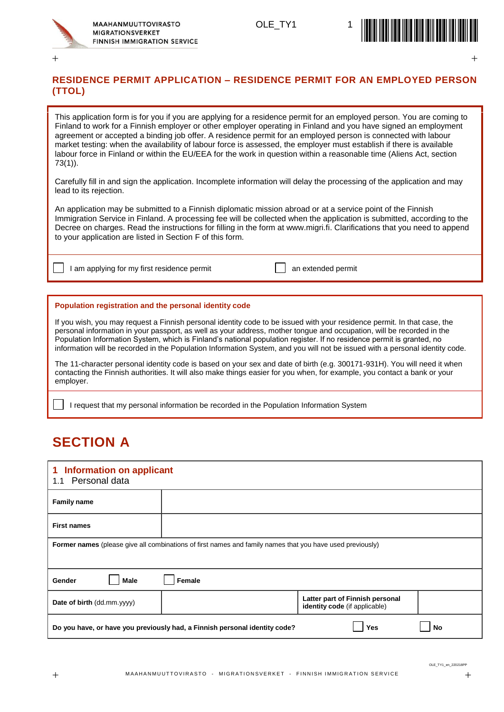



### **RESIDENCE PERMIT APPLICATION – RESIDENCE PERMIT FOR AN EMPLOYED PERSON (TTOL)**

 $\pm$  . The contract of the contract of the contract of the contract of the contract of the contract of the contract of the contract of the contract of the contract of the contract of the contract of the contract of the co

This application form is for you if you are applying for a residence permit for an employed person. You are coming to Finland to work for a Finnish employer or other employer operating in Finland and you have signed an employment agreement or accepted a binding job offer. A residence permit for an employed person is connected with labour market testing: when the availability of labour force is assessed, the employer must establish if there is available labour force in Finland or within the EU/EEA for the work in question within a reasonable time (Aliens Act, section 73(1)).

Carefully fill in and sign the application. Incomplete information will delay the processing of the application and may lead to its rejection.

An application may be submitted to a Finnish diplomatic mission abroad or at a service point of the Finnish Immigration Service in Finland. A processing fee will be collected when the application is submitted, according to the Decree on charges. Read the instructions for filling in the form at www.migri.fi. Clarifications that you need to append to your application are listed in Section F of this form.

|  | I am applying for my first residence permit |
|--|---------------------------------------------|
|--|---------------------------------------------|

an extended permit

#### **Population registration and the personal identity code**

If you wish, you may request a Finnish personal identity code to be issued with your residence permit. In that case, the personal information in your passport, as well as your address, mother tongue and occupation, will be recorded in the Population Information System, which is Finland's national population register. If no residence permit is granted, no information will be recorded in the Population Information System, and you will not be issued with a personal identity code.

The 11-character personal identity code is based on your sex and date of birth (e.g. 300171-931H). You will need it when contacting the Finnish authorities. It will also make things easier for you when, for example, you contact a bank or your employer.

I request that my personal information be recorded in the Population Information System

### **SECTION A**

| <b>Information on applicant</b><br>1<br>1.1 Personal data |                                                                                                                  |                                                                  |    |
|-----------------------------------------------------------|------------------------------------------------------------------------------------------------------------------|------------------------------------------------------------------|----|
| <b>Family name</b>                                        |                                                                                                                  |                                                                  |    |
| <b>First names</b>                                        |                                                                                                                  |                                                                  |    |
|                                                           | <b>Former names</b> (please give all combinations of first names and family names that you have used previously) |                                                                  |    |
| <b>Male</b><br>Gender                                     | Female                                                                                                           |                                                                  |    |
| Date of birth (dd.mm.yyyy)                                |                                                                                                                  | Latter part of Finnish personal<br>identity code (if applicable) |    |
|                                                           | Do you have, or have you previously had, a Finnish personal identity code?                                       | Yes                                                              | No |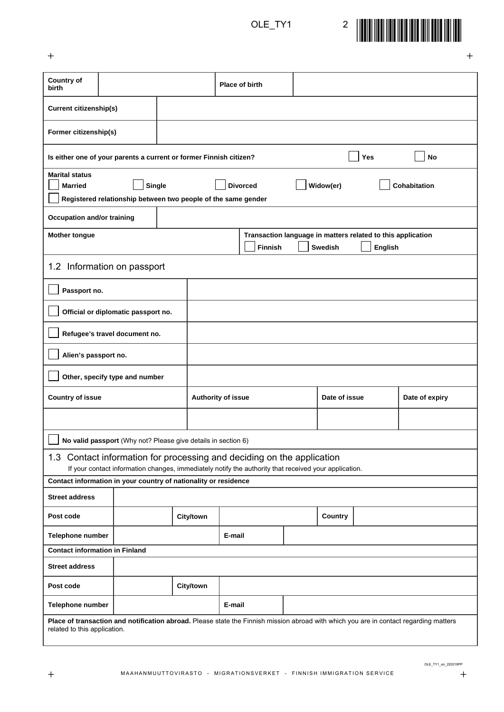OLE\_TY1



 $+$  +  $+$  +  $+$  +  $+$  +  $+$  +  $+$  +  $+$  +  $+$  +  $+$  +  $+$  +  $+$  +  $+$  +  $+$  +  $+$  +  $+$  +  $+$  +  $+$  +  $+$  +  $+$  +  $+$  +  $+$  +  $+$  +  $+$  +  $+$  +  $+$  +  $+$  +  $+$  +  $+$  +  $+$  +  $+$  +  $+$  +  $+$  +  $+$  +  $+$  +  $+$  +  $+$  +  $+$  +

| <b>Country of</b><br>birth                                                                                                                                                      |                                                                    |               |                    |        | Place of birth                                                                                             |               |                |                |                                                                                                                                       |
|---------------------------------------------------------------------------------------------------------------------------------------------------------------------------------|--------------------------------------------------------------------|---------------|--------------------|--------|------------------------------------------------------------------------------------------------------------|---------------|----------------|----------------|---------------------------------------------------------------------------------------------------------------------------------------|
| <b>Current citizenship(s)</b>                                                                                                                                                   |                                                                    |               |                    |        |                                                                                                            |               |                |                |                                                                                                                                       |
| Former citizenship(s)                                                                                                                                                           |                                                                    |               |                    |        |                                                                                                            |               |                |                |                                                                                                                                       |
|                                                                                                                                                                                 | Is either one of your parents a current or former Finnish citizen? |               |                    |        |                                                                                                            |               |                | Yes            | <b>No</b>                                                                                                                             |
| <b>Marital status</b><br><b>Married</b>                                                                                                                                         |                                                                    | <b>Single</b> |                    |        | <b>Divorced</b>                                                                                            |               | Widow(er)      |                | Cohabitation                                                                                                                          |
|                                                                                                                                                                                 | Registered relationship between two people of the same gender      |               |                    |        |                                                                                                            |               |                |                |                                                                                                                                       |
| <b>Occupation and/or training</b>                                                                                                                                               |                                                                    |               |                    |        |                                                                                                            |               |                |                |                                                                                                                                       |
| <b>Mother tongue</b>                                                                                                                                                            |                                                                    |               |                    |        | Transaction language in matters related to this application<br><b>Finnish</b><br>Swedish<br><b>English</b> |               |                |                |                                                                                                                                       |
|                                                                                                                                                                                 | 1.2 Information on passport                                        |               |                    |        |                                                                                                            |               |                |                |                                                                                                                                       |
| Passport no.                                                                                                                                                                    |                                                                    |               |                    |        |                                                                                                            |               |                |                |                                                                                                                                       |
|                                                                                                                                                                                 | Official or diplomatic passport no.                                |               |                    |        |                                                                                                            |               |                |                |                                                                                                                                       |
|                                                                                                                                                                                 | Refugee's travel document no.                                      |               |                    |        |                                                                                                            |               |                |                |                                                                                                                                       |
| Alien's passport no.                                                                                                                                                            |                                                                    |               |                    |        |                                                                                                            |               |                |                |                                                                                                                                       |
|                                                                                                                                                                                 | Other, specify type and number                                     |               |                    |        |                                                                                                            |               |                |                |                                                                                                                                       |
|                                                                                                                                                                                 | <b>Country of issue</b>                                            |               | Authority of issue |        |                                                                                                            | Date of issue |                | Date of expiry |                                                                                                                                       |
|                                                                                                                                                                                 |                                                                    |               |                    |        |                                                                                                            |               |                |                |                                                                                                                                       |
| No valid passport (Why not? Please give details in section 6)                                                                                                                   |                                                                    |               |                    |        |                                                                                                            |               |                |                |                                                                                                                                       |
| 1.3 Contact information for processing and deciding on the application<br>If your contact information changes, immediately notify the authority that received your application. |                                                                    |               |                    |        |                                                                                                            |               |                |                |                                                                                                                                       |
|                                                                                                                                                                                 | Contact information in your country of nationality or residence    |               |                    |        |                                                                                                            |               |                |                |                                                                                                                                       |
| <b>Street address</b>                                                                                                                                                           |                                                                    |               |                    |        |                                                                                                            |               |                |                |                                                                                                                                       |
| Post code                                                                                                                                                                       |                                                                    |               | City/town          |        |                                                                                                            |               | <b>Country</b> |                |                                                                                                                                       |
| Telephone number                                                                                                                                                                |                                                                    |               | E-mail             |        |                                                                                                            |               |                |                |                                                                                                                                       |
| <b>Contact information in Finland</b>                                                                                                                                           |                                                                    |               |                    |        |                                                                                                            |               |                |                |                                                                                                                                       |
| <b>Street address</b>                                                                                                                                                           |                                                                    |               |                    |        |                                                                                                            |               |                |                |                                                                                                                                       |
| Post code                                                                                                                                                                       |                                                                    |               | City/town          |        |                                                                                                            |               |                |                |                                                                                                                                       |
| Telephone number                                                                                                                                                                |                                                                    |               |                    | E-mail |                                                                                                            |               |                |                |                                                                                                                                       |
| related to this application.                                                                                                                                                    |                                                                    |               |                    |        |                                                                                                            |               |                |                | Place of transaction and notification abroad. Please state the Finnish mission abroad with which you are in contact regarding matters |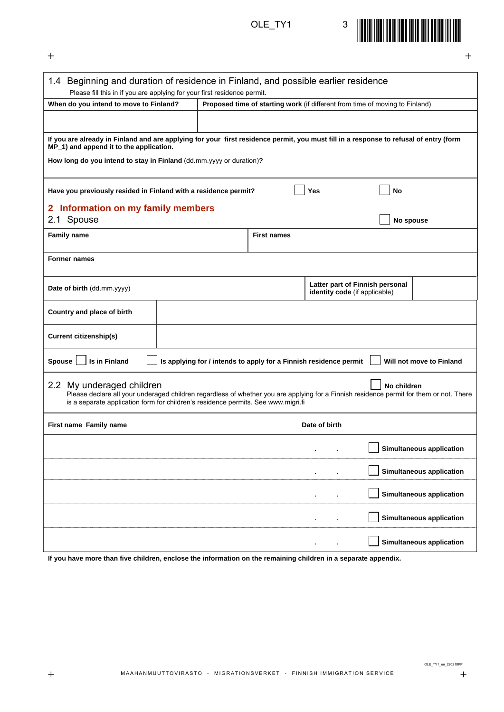OLE\_TY1



|--|--|

| 1.4 Beginning and duration of residence in Finland, and possible earlier residence<br>Please fill this in if you are applying for your first residence permit.                                                                                            |  |                                                                              |                                                                  |             |                                 |
|-----------------------------------------------------------------------------------------------------------------------------------------------------------------------------------------------------------------------------------------------------------|--|------------------------------------------------------------------------------|------------------------------------------------------------------|-------------|---------------------------------|
| When do you intend to move to Finland?                                                                                                                                                                                                                    |  | Proposed time of starting work (if different from time of moving to Finland) |                                                                  |             |                                 |
|                                                                                                                                                                                                                                                           |  |                                                                              |                                                                  |             |                                 |
| If you are already in Finland and are applying for your first residence permit, you must fill in a response to refusal of entry (form<br>MP_1) and append it to the application.                                                                          |  |                                                                              |                                                                  |             |                                 |
| How long do you intend to stay in Finland (dd.mm.yyyy or duration)?                                                                                                                                                                                       |  |                                                                              |                                                                  |             |                                 |
| Have you previously resided in Finland with a residence permit?                                                                                                                                                                                           |  |                                                                              | Yes                                                              | <b>No</b>   |                                 |
| 2 Information on my family members<br>2.1 Spouse                                                                                                                                                                                                          |  |                                                                              |                                                                  | No spouse   |                                 |
| <b>Family name</b>                                                                                                                                                                                                                                        |  | <b>First names</b>                                                           |                                                                  |             |                                 |
| <b>Former names</b>                                                                                                                                                                                                                                       |  |                                                                              |                                                                  |             |                                 |
| Date of birth (dd.mm.yyyy)                                                                                                                                                                                                                                |  |                                                                              | Latter part of Finnish personal<br>identity code (if applicable) |             |                                 |
| Country and place of birth                                                                                                                                                                                                                                |  |                                                                              |                                                                  |             |                                 |
| <b>Current citizenship(s)</b>                                                                                                                                                                                                                             |  |                                                                              |                                                                  |             |                                 |
| <b>Spouse</b><br>Is in Finland                                                                                                                                                                                                                            |  | Is applying for / intends to apply for a Finnish residence permit            |                                                                  |             | Will not move to Finland        |
| 2.2 My underaged children<br>Please declare all your underaged children regardless of whether you are applying for a Finnish residence permit for them or not. There<br>is a separate application form for children's residence permits. See www.migri.fi |  |                                                                              |                                                                  | No children |                                 |
| First name Family name                                                                                                                                                                                                                                    |  |                                                                              | Date of birth                                                    |             |                                 |
|                                                                                                                                                                                                                                                           |  |                                                                              |                                                                  |             | <b>Simultaneous application</b> |
|                                                                                                                                                                                                                                                           |  |                                                                              |                                                                  |             | <b>Simultaneous application</b> |
|                                                                                                                                                                                                                                                           |  |                                                                              |                                                                  |             | <b>Simultaneous application</b> |
|                                                                                                                                                                                                                                                           |  |                                                                              |                                                                  |             | <b>Simultaneous application</b> |
|                                                                                                                                                                                                                                                           |  |                                                                              |                                                                  |             | <b>Simultaneous application</b> |

**If you have more than five children, enclose the information on the remaining children in a separate appendix.**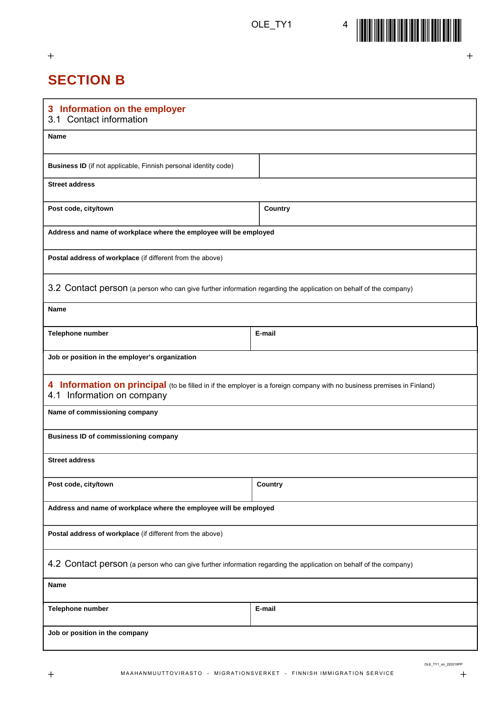

## **SECTION B**

| 3 Information on the employer<br>3.1 Contact information                                                                                             |         |  |  |
|------------------------------------------------------------------------------------------------------------------------------------------------------|---------|--|--|
| Name                                                                                                                                                 |         |  |  |
| Business ID (if not applicable, Finnish personal identity code)                                                                                      |         |  |  |
| <b>Street address</b>                                                                                                                                |         |  |  |
| Post code, city/town                                                                                                                                 | Country |  |  |
| Address and name of workplace where the employee will be employed                                                                                    |         |  |  |
| Postal address of workplace (if different from the above)                                                                                            |         |  |  |
| 3.2 Contact person (a person who can give further information regarding the application on behalf of the company)                                    |         |  |  |
| Name                                                                                                                                                 |         |  |  |
| Telephone number                                                                                                                                     | E-mail  |  |  |
| Job or position in the employer's organization                                                                                                       |         |  |  |
| 4 Information on principal (to be filled in if the employer is a foreign company with no business premises in Finland)<br>4.1 Information on company |         |  |  |
| Name of commissioning company                                                                                                                        |         |  |  |
| <b>Business ID of commissioning company</b>                                                                                                          |         |  |  |
| <b>Street address</b>                                                                                                                                |         |  |  |
| Post code, city/town                                                                                                                                 | Country |  |  |
| Address and name of workplace where the employee will be employed                                                                                    |         |  |  |
| Postal address of workplace (if different from the above)                                                                                            |         |  |  |
| 4.2 Contact person (a person who can give further information regarding the application on behalf of the company)                                    |         |  |  |
| Name                                                                                                                                                 |         |  |  |
| Telephone number                                                                                                                                     | E-mail  |  |  |
| Job or position in the company                                                                                                                       |         |  |  |

 $+$  +  $+$  +  $+$  +  $+$  +  $+$  +  $+$  +  $+$  +  $+$  +  $+$  +  $+$  +  $+$  +  $+$  +  $+$  +  $+$  +  $+$  +  $+$  +  $+$  +  $+$  +  $+$  +  $+$  +  $+$  +  $+$  +  $+$  +  $+$  +  $+$  +  $+$  +  $+$  +  $+$  +  $+$  +  $+$  +  $+$  +  $+$  +  $+$  +  $+$  +  $+$  +  $+$  +  $+$  +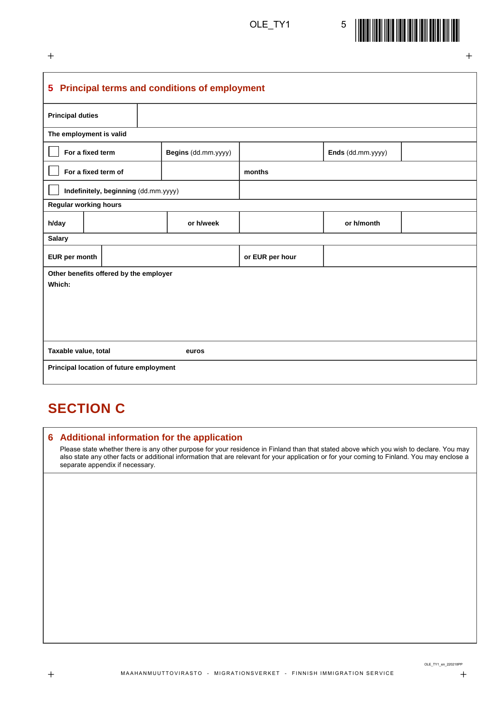



 $+$  +  $+$  +  $+$  +  $+$  +  $+$  +  $+$  +  $+$  +  $+$  +  $+$  +  $+$  +  $+$  +  $+$  +  $+$  +  $+$  +  $+$  +  $+$  +  $+$  +  $+$  +  $+$  +  $+$  +  $+$  +  $+$  +  $+$  +  $+$  +  $+$  +  $+$  +  $+$  +  $+$  +  $+$  +  $+$  +  $+$  +  $+$  +  $+$  +  $+$  +  $+$  +  $+$  +  $+$  +

| 5 Principal terms and conditions of employment   |                     |                 |                   |  |
|--------------------------------------------------|---------------------|-----------------|-------------------|--|
| <b>Principal duties</b>                          |                     |                 |                   |  |
| The employment is valid                          |                     |                 |                   |  |
| For a fixed term                                 | Begins (dd.mm.yyyy) |                 | Ends (dd.mm.yyyy) |  |
| For a fixed term of                              |                     | months          |                   |  |
| Indefinitely, beginning (dd.mm.yyyy)             |                     |                 |                   |  |
| <b>Regular working hours</b>                     |                     |                 |                   |  |
| h/day                                            | or h/week           |                 | or h/month        |  |
| <b>Salary</b>                                    |                     |                 |                   |  |
| EUR per month                                    |                     | or EUR per hour |                   |  |
| Other benefits offered by the employer<br>Which: |                     |                 |                   |  |
| Taxable value, total                             | euros               |                 |                   |  |
| Principal location of future employment          |                     |                 |                   |  |

# **SECTION C**

#### **6 Additional information for the application**

Please state whether there is any other purpose for your residence in Finland than that stated above which you wish to declare. You may also state any other facts or additional information that are relevant for your application or for your coming to Finland. You may enclose a separate appendix if necessary.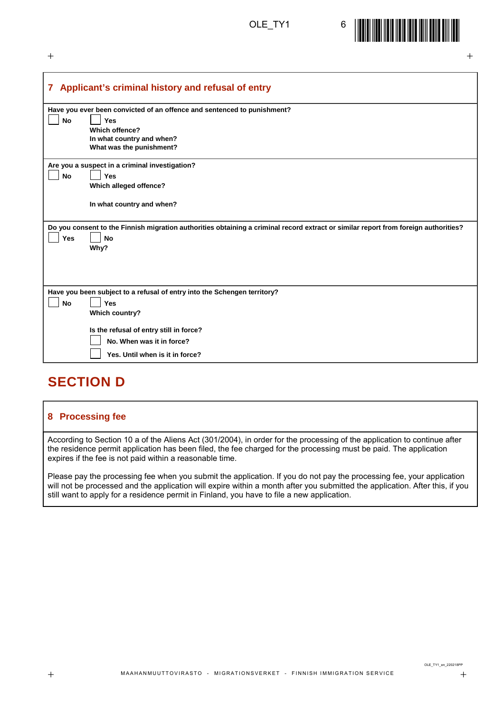

 $+$  +  $+$  +  $+$  +  $+$  +  $+$  +  $+$  +  $+$  +  $+$  +  $+$  +  $+$  +  $+$  +  $+$  +  $+$  +  $+$  +  $+$  +  $+$  +  $+$  +  $+$  +  $+$  +  $+$  +  $+$  +  $+$  +  $+$  +  $+$  +  $+$  +  $+$  +  $+$  +  $+$  +  $+$  +  $+$  +  $+$  +  $+$  +  $+$  +  $+$  +  $+$  +  $+$  +  $+$  +

|            | 7 Applicant's criminal history and refusal of entry                                                                                 |
|------------|-------------------------------------------------------------------------------------------------------------------------------------|
|            |                                                                                                                                     |
|            | Have you ever been convicted of an offence and sentenced to punishment?                                                             |
| <b>No</b>  | Yes                                                                                                                                 |
|            | <b>Which offence?</b>                                                                                                               |
|            | In what country and when?                                                                                                           |
|            | What was the punishment?                                                                                                            |
|            | Are you a suspect in a criminal investigation?                                                                                      |
| <b>No</b>  | Yes                                                                                                                                 |
|            | Which alleged offence?                                                                                                              |
|            | In what country and when?                                                                                                           |
|            |                                                                                                                                     |
|            | Do you consent to the Finnish migration authorities obtaining a criminal record extract or similar report from foreign authorities? |
| <b>Yes</b> | <b>No</b>                                                                                                                           |
|            | Why?                                                                                                                                |
|            |                                                                                                                                     |
|            |                                                                                                                                     |
|            |                                                                                                                                     |
|            | Have you been subject to a refusal of entry into the Schengen territory?                                                            |
| <b>No</b>  | Yes                                                                                                                                 |
|            | Which country?                                                                                                                      |
|            |                                                                                                                                     |
|            | Is the refusal of entry still in force?                                                                                             |
|            | No. When was it in force?                                                                                                           |
|            | Yes. Until when is it in force?                                                                                                     |
|            |                                                                                                                                     |

## **SECTION D**

### **8 Processing fee**

According to Section 10 a of the Aliens Act (301/2004), in order for the processing of the application to continue after the residence permit application has been filed, the fee charged for the processing must be paid. The application expires if the fee is not paid within a reasonable time.

Please pay the processing fee when you submit the application. If you do not pay the processing fee, your application will not be processed and the application will expire within a month after you submitted the application. After this, if you still want to apply for a residence permit in Finland, you have to file a new application.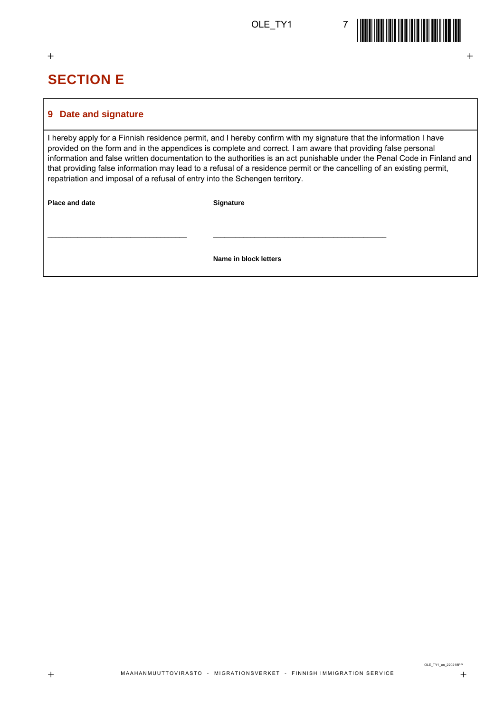

## **SECTION E**

### **9 Date and signature**

I hereby apply for a Finnish residence permit, and I hereby confirm with my signature that the information I have provided on the form and in the appendices is complete and correct. I am aware that providing false personal information and false written documentation to the authorities is an act punishable under the Penal Code in Finland and that providing false information may lead to a refusal of a residence permit or the cancelling of an existing permit, repatriation and imposal of a refusal of entry into the Schengen territory.

Place and date **Signature** 

**\_\_\_\_\_\_\_\_\_\_\_\_\_\_\_\_\_\_\_\_\_\_\_\_\_\_\_\_\_\_\_\_\_\_\_\_\_ \_\_\_\_\_\_\_\_\_\_\_\_\_\_\_\_\_\_\_\_\_\_\_\_\_\_\_\_\_\_\_\_\_\_\_\_\_\_\_\_\_\_\_\_\_\_**

**Name in block letters**